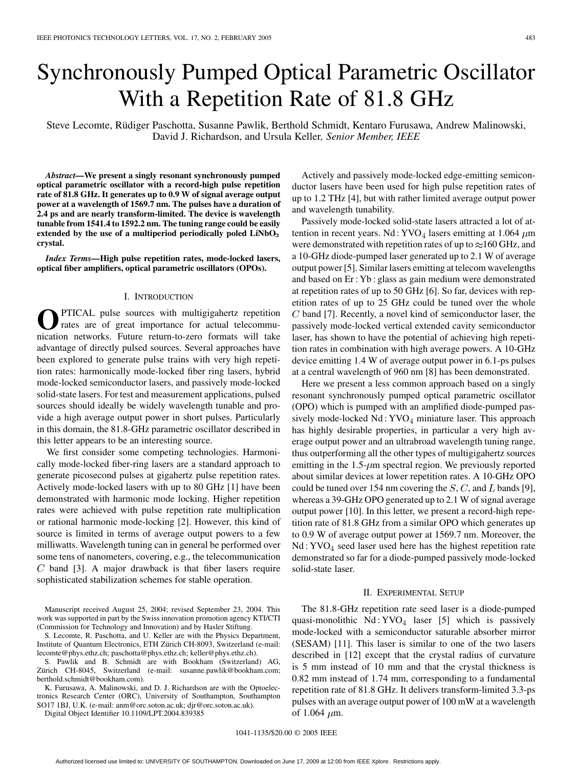# Synchronously Pumped Optical Parametric Oscillator With a Repetition Rate of 81.8 GHz

Steve Lecomte, Rüdiger Paschotta, Susanne Pawlik, Berthold Schmidt, Kentaro Furusawa, Andrew Malinowski, David J. Richardson, and Ursula Keller*, Senior Member, IEEE*

*Abstract—***We present a singly resonant synchronously pumped optical parametric oscillator with a record-high pulse repetition rate of 81.8 GHz. It generates up to 0.9 W of signal average output power at a wavelength of 1569.7 nm. The pulses have a duration of 2.4 ps and are nearly transform-limited. The device is wavelength tunable from 1541.4 to 1592.2 nm. The tuning range could be easily extended by the use of a multiperiod periodically poled LiNbO**<sup>3</sup> **crystal.**

*Index Terms—***High pulse repetition rates, mode-locked lasers, optical fiber amplifiers, optical parametric oscillators (OPOs).**

### I. INTRODUCTION

PTICAL pulse sources with multigigahertz repetition rates are of great importance for actual telecommunication networks. Future return-to-zero formats will take advantage of directly pulsed sources. Several approaches have been explored to generate pulse trains with very high repetition rates: harmonically mode-locked fiber ring lasers, hybrid mode-locked semiconductor lasers, and passively mode-locked solid-state lasers. For test and measurement applications, pulsed sources should ideally be widely wavelength tunable and provide a high average output power in short pulses. Particularly in this domain, the 81.8-GHz parametric oscillator described in this letter appears to be an interesting source.

We first consider some competing technologies. Harmonically mode-locked fiber-ring lasers are a standard approach to generate picosecond pulses at gigahertz pulse repetition rates. Actively mode-locked lasers with up to 80 GHz [[1\]](#page-2-0) have been demonstrated with harmonic mode locking. Higher repetition rates were achieved with pulse repetition rate multiplication or rational harmonic mode-locking [[2\]](#page-2-0). However, this kind of source is limited in terms of average output powers to a few milliwatts. Wavelength tuning can in general be performed over some tens of nanometers, covering, e.g., the telecommunication  $C$  band [[3\]](#page-2-0). A major drawback is that fiber lasers require sophisticated stabilization schemes for stable operation.

Manuscript received August 25, 2004; revised September 23, 2004. This work was supported in part by the Swiss innovation promotion agency KTI/CTI (Commission for Technology and Innovation) and by Hasler Stiftung.

S. Lecomte, R. Paschotta, and U. Keller are with the Physics Department, Institute of Quantum Electronics, ETH Zürich CH-8093, Switzerland (e-mail: lecomte@phys.ethz.ch; paschotta@phys.ethz.ch; keller@phys.ethz.ch).

S. Pawlik and B. Schmidt are with Bookham (Switzerland) AG, Zürich CH-8045, Switzerland (e-mail: susanne.pawlik@bookham.com; berthold.schmidt@bookham.com).

K. Furusawa, A. Malinowski, and D. J. Richardson are with the Optoelectronics Research Center (ORC), University of Southampton, Southampton SO17 1BJ, U.K. (e-mail: anm@orc.soton.ac.uk; djr@orc.soton.ac.uk).

Digital Object Identifier 10.1109/LPT.2004.839385

Actively and passively mode-locked edge-emitting semiconductor lasers have been used for high pulse repetition rates of up to 1.2 THz [[4\]](#page-2-0), but with rather limited average output power and wavelength tunability.

Passively mode-locked solid-state lasers attracted a lot of attention in recent years. Nd : YVO<sub>4</sub> lasers emitting at 1.064  $\mu$ m were demonstrated with repetition rates of up to  $\approx$  160 GHz, and a 10-GHz diode-pumped laser generated up to 2.1 W of average output power [[5\]](#page-2-0). Similar lasers emitting at telecom wavelengths and based on Er : Yb : glass as gain medium were demonstrated at repetition rates of up to 50 GHz [[6](#page-2-0)]. So far, devices with repetition rates of up to 25 GHz could be tuned over the whole  $C$  band [\[7](#page-2-0)]. Recently, a novel kind of semiconductor laser, the passively mode-locked vertical extended cavity semiconductor laser, has shown to have the potential of achieving high repetition rates in combination with high average powers. A 10-GHz device emitting 1.4 W of average output power in 6.1-ps pulses at a central wavelength of 960 nm [\[8](#page-2-0)] has been demonstrated.

Here we present a less common approach based on a singly resonant synchronously pumped optical parametric oscillator (OPO) which is pumped with an amplified diode-pumped passively mode-locked  $Nd: YVO<sub>4</sub>$  miniature laser. This approach has highly desirable properties, in particular a very high average output power and an ultrabroad wavelength tuning range, thus outperforming all the other types of multigigahertz sources emitting in the 1.5- $\mu$ m spectral region. We previously reported about similar devices at lower repetition rates. A 10-GHz OPO could be tuned over 154 nm covering the  $S, C$ , and L bands [\[9](#page-2-0)], whereas a 39-GHz OPO generated up to 2.1 W of signal average output power [[10\]](#page-2-0). In this letter, we present a record-high repetition rate of 81.8 GHz from a similar OPO which generates up to 0.9 W of average output power at 1569.7 nm. Moreover, the  $Nd: YVO<sub>4</sub> seed laser used here has the highest repetition rate$ demonstrated so far for a diode-pumped passively mode-locked solid-state laser.

## II. EXPERIMENTAL SETUP

The 81.8-GHz repetition rate seed laser is a diode-pumped quasi-monolithic  $Nd: YVO<sub>4</sub> laser [5] which is passively$  $Nd: YVO<sub>4</sub> laser [5] which is passively$  $Nd: YVO<sub>4</sub> laser [5] which is passively$ mode-locked with a semiconductor saturable absorber mirror (SESAM) [\[11\]](#page-2-0). This laser is similar to one of the two lasers described in [\[12](#page-2-0)] except that the crystal radius of curvature is 5 mm instead of 10 mm and that the crystal thickness is 0.82 mm instead of 1.74 mm, corresponding to a fundamental repetition rate of 81.8 GHz. It delivers transform-limited 3.3-ps pulses with an average output power of 100 mW at a wavelength of 1.064  $\mu$ m.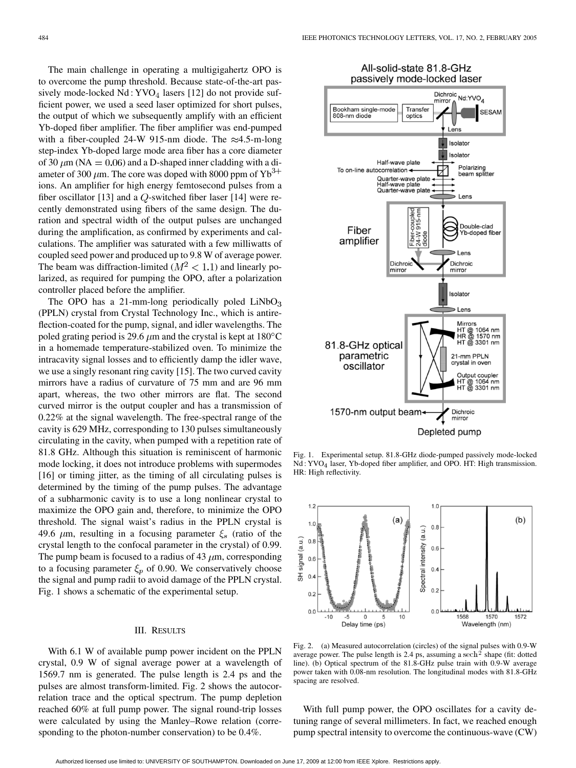The main challenge in operating a multigigahertz OPO is to overcome the pump threshold. Because state-of-the-art passively mode-locked  $Nd: YVO<sub>4</sub>$  lasers [[12\]](#page-2-0) do not provide sufficient power, we used a seed laser optimized for short pulses, the output of which we subsequently amplify with an efficient Yb-doped fiber amplifier. The fiber amplifier was end-pumped with a fiber-coupled 24-W 915-nm diode. The  $\approx$ 4.5-m-long step-index Yb-doped large mode area fiber has a core diameter of 30  $\mu$ m (NA = 0.06) and a D-shaped inner cladding with a diameter of 300  $\mu$ m. The core was doped with 8000 ppm of Yb<sup>3+</sup> ions. An amplifier for high energy femtosecond pulses from a fiber oscillator [\[13](#page-2-0)] and a  $Q$ -switched fiber laser [\[14](#page-2-0)] were recently demonstrated using fibers of the same design. The duration and spectral width of the output pulses are unchanged during the amplification, as confirmed by experiments and calculations. The amplifier was saturated with a few milliwatts of coupled seed power and produced up to 9.8 W of average power. The beam was diffraction-limited ( $M^2 < 1.1$ ) and linearly polarized, as required for pumping the OPO, after a polarization controller placed before the amplifier.

The OPO has a 21-mm-long periodically poled  $LiNbO<sub>3</sub>$ (PPLN) crystal from Crystal Technology Inc., which is antireflection-coated for the pump, signal, and idler wavelengths. The poled grating period is 29.6  $\mu$ m and the crystal is kept at 180 $^{\circ}$ C in a homemade temperature-stabilized oven. To minimize the intracavity signal losses and to efficiently damp the idler wave, we use a singly resonant ring cavity [\[15](#page-2-0)]. The two curved cavity mirrors have a radius of curvature of 75 mm and are 96 mm apart, whereas, the two other mirrors are flat. The second curved mirror is the output coupler and has a transmission of 0.22% at the signal wavelength. The free-spectral range of the cavity is 629 MHz, corresponding to 130 pulses simultaneously circulating in the cavity, when pumped with a repetition rate of 81.8 GHz. Although this situation is reminiscent of harmonic mode locking, it does not introduce problems with supermodes [[16\]](#page-2-0) or timing jitter, as the timing of all circulating pulses is determined by the timing of the pump pulses. The advantage of a subharmonic cavity is to use a long nonlinear crystal to maximize the OPO gain and, therefore, to minimize the OPO threshold. The signal waist's radius in the PPLN crystal is 49.6  $\mu$ m, resulting in a focusing parameter  $\xi$  (ratio of the crystal length to the confocal parameter in the crystal) of 0.99. The pump beam is focused to a radius of 43  $\mu$ m, corresponding to a focusing parameter  $\xi_p$  of 0.90. We conservatively choose the signal and pump radii to avoid damage of the PPLN crystal. Fig. 1 shows a schematic of the experimental setup.

# III. RESULTS

With 6.1 W of available pump power incident on the PPLN crystal, 0.9 W of signal average power at a wavelength of 1569.7 nm is generated. The pulse length is 2.4 ps and the pulses are almost transform-limited. Fig. 2 shows the autocorrelation trace and the optical spectrum. The pump depletion reached 60% at full pump power. The signal round-trip losses were calculated by using the Manley–Rowe relation (corresponding to the photon-number conservation) to be 0.4%.



Fig. 1. Experimental setup. 81.8-GHz diode-pumped passively mode-locked Nd : YVO<sub>4</sub> laser, Yb-doped fiber amplifier, and OPO. HT: High transmission. HR: High reflectivity.



Fig. 2. (a) Measured autocorrelation (circles) of the signal pulses with 0.9-W average power. The pulse length is 2.4 ps, assuming a sech<sup>2</sup> shape (fit: dotted line). (b) Optical spectrum of the 81.8-GHz pulse train with 0.9-W average power taken with 0.08-nm resolution. The longitudinal modes with 81.8-GHz spacing are resolved.

With full pump power, the OPO oscillates for a cavity detuning range of several millimeters. In fact, we reached enough pump spectral intensity to overcome the continuous-wave (CW)